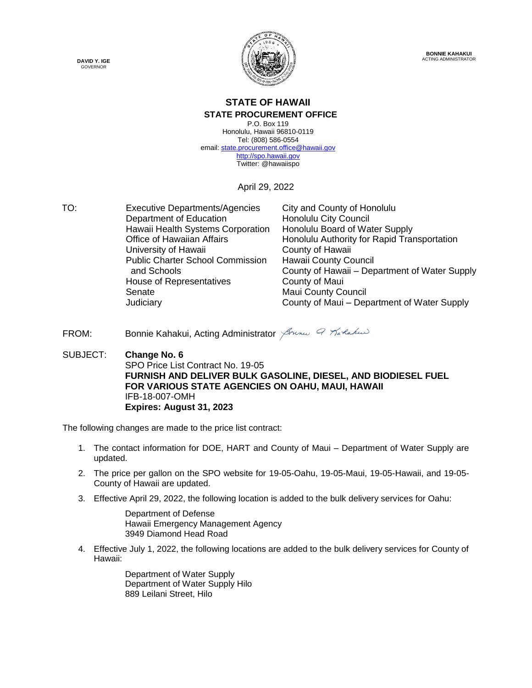



### **STATE OF HAWAII**

**STATE PROCUREMENT OFFICE**

P.O. Box 119 Honolulu, Hawaii 96810-0119 Tel: (808) 586-0554 email[: state.procurement.office@hawaii.gov](mailto:state.procurement.office@hawaii.gov) [http://spo.hawaii.gov](http://spo.hawaii.gov/) Twitter: @hawaiispo

April 29, 2022

TO: Executive Departments/Agencies City and County of Honolulu Department of Education Honolulu City Council Hawaii Health Systems Corporation Honolulu Board of Water Supply<br>Office of Hawaiian Affairs **Honolulu Authority for Rapid Tran** Honolulu Authority for Rapid Transportation University of Hawaii **County of Hawaii** Public Charter School Commission Hawaii County Council and Schools County of Hawaii – Department of Water Supply House of Representatives **County of Maui** Senate Maui County Council Judiciary County of Maui – Department of Water Supply

FROM: Bonnie Kahakui, Acting Administrator American Pratakus

SUBJECT: **Change No. 6** SPO Price List Contract No. 19-05 **FURNISH AND DELIVER BULK GASOLINE, DIESEL, AND BIODIESEL FUEL FOR VARIOUS STATE AGENCIES ON OAHU, MAUI, HAWAII** IFB-18-007-OMH **Expires: August 31, 2023**

The following changes are made to the price list contract:

- 1. The contact information for DOE, HART and County of Maui Department of Water Supply are updated.
- 2. The price per gallon on the SPO website for 19-05-Oahu, 19-05-Maui, 19-05-Hawaii, and 19-05- County of Hawaii are updated.
- 3. Effective April 29, 2022, the following location is added to the bulk delivery services for Oahu:

Department of Defense Hawaii Emergency Management Agency 3949 Diamond Head Road

4. Effective July 1, 2022, the following locations are added to the bulk delivery services for County of Hawaii:

> Department of Water Supply Department of Water Supply Hilo 889 Leilani Street, Hilo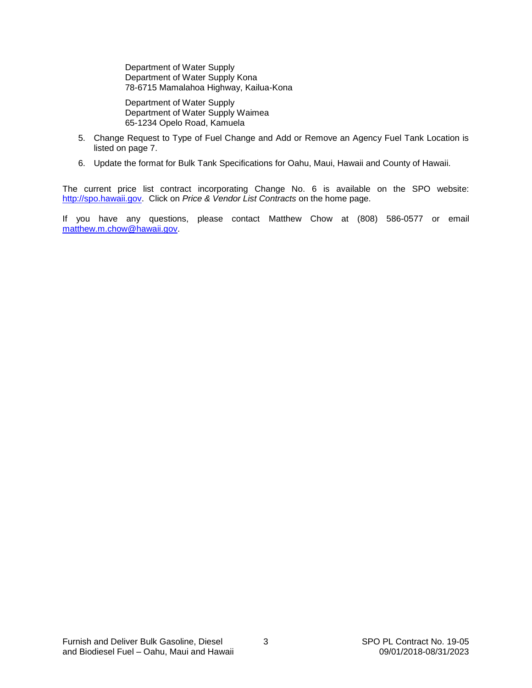Department of Water Supply Department of Water Supply Kona 78-6715 Mamalahoa Highway, Kailua-Kona

Department of Water Supply Department of Water Supply Waimea 65-1234 Opelo Road, Kamuela

- 5. Change Request to Type of Fuel Change and Add or Remove an Agency Fuel Tank Location is listed on page 7.
- 6. Update the format for Bulk Tank Specifications for Oahu, Maui, Hawaii and County of Hawaii.

The current price list contract incorporating Change No. 6 is available on the SPO website: [http://spo.hawaii.gov.](http://spo.hawaii.gov/) Click on *Price & Vendor List Contracts* on the home page.

If you have any questions, please contact Matthew Chow at (808) 586-0577 or email [matthew.m.chow@hawaii.gov.](mailto:matthew.m.chow@hawaii.gov)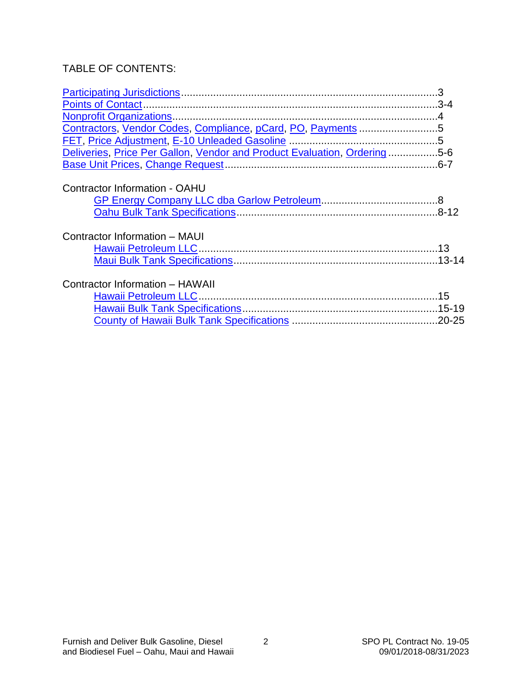#### TABLE OF CONTENTS:

| Contractors, Vendor Codes, Compliance, pCard, PO, Payments 5             |  |
|--------------------------------------------------------------------------|--|
|                                                                          |  |
| Deliveries, Price Per Gallon, Vendor and Product Evaluation, Ordering5-6 |  |
|                                                                          |  |
| <b>Contractor Information - OAHU</b>                                     |  |
|                                                                          |  |
|                                                                          |  |
| Contractor Information - MAUI                                            |  |
|                                                                          |  |
|                                                                          |  |
| Contractor Information - HAWAII                                          |  |
|                                                                          |  |
|                                                                          |  |
|                                                                          |  |
|                                                                          |  |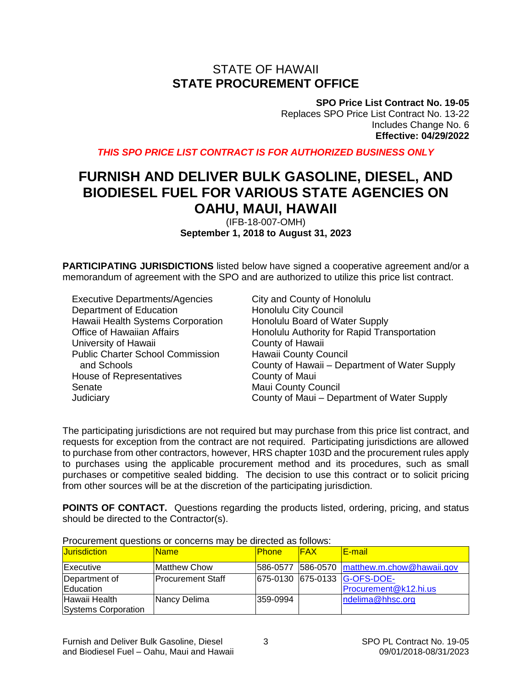### STATE OF HAWAII **STATE PROCUREMENT OFFICE**

**SPO Price List Contract No. 19-05**

Replaces SPO Price List Contract No. 13-22 Includes Change No. 6 **Effective: 04/29/2022**

<span id="page-3-0"></span>*THIS SPO PRICE LIST CONTRACT IS FOR AUTHORIZED BUSINESS ONLY*

### **FURNISH AND DELIVER BULK GASOLINE, DIESEL, AND BIODIESEL FUEL FOR VARIOUS STATE AGENCIES ON OAHU, MAUI, HAWAII**

(IFB-18-007-OMH) **September 1, 2018 to August 31, 2023**

**PARTICIPATING JURISDICTIONS** listed below have signed a cooperative agreement and/or a memorandum of agreement with the SPO and are authorized to utilize this price list contract.

Executive Departments/Agencies City and County of Honolulu Department of Education Honolulu City Council Hawaii Health Systems Corporation Honolulu Board of Water Supply University of Hawaii **County of Hawaii** County of Hawaii Public Charter School Commission Hawaii County Council House of Representatives **County of Maui** Senate Maui County Council

Office of Hawaiian Affairs **Honolulu Authority for Rapid Transportation**  and Schools County of Hawaii – Department of Water Supply Judiciary County of Maui – Department of Water Supply

The participating jurisdictions are not required but may purchase from this price list contract, and requests for exception from the contract are not required. Participating jurisdictions are allowed to purchase from other contractors, however, HRS chapter 103D and the procurement rules apply to purchases using the applicable procurement method and its procedures, such as small purchases or competitive sealed bidding. The decision to use this contract or to solicit pricing from other sources will be at the discretion of the participating jurisdiction.

**POINTS OF CONTACT.** Questions regarding the products listed, ordering, pricing, and status should be directed to the Contractor(s).

| <u>T TOURI UNIUNII QUUUNIU UI UUNUUNII DINA DU UNUUUU UU IUNUI.</u> |                          |              |            |                                       |
|---------------------------------------------------------------------|--------------------------|--------------|------------|---------------------------------------|
| <b>Jurisdiction</b>                                                 | <b>Name</b>              | <b>Phone</b> | <b>FAX</b> | <u>IE-mail</u>                        |
| <b>IExecutive</b>                                                   | <b>Matthew Chow</b>      | 586-0577     |            | $1586-0570$ matthew.m.chow@hawaii.gov |
| Department of                                                       | <b>Procurement Staff</b> |              |            | 675-0130 675-0133 G-OFS-DOE-          |
| Education                                                           |                          |              |            | Procurement@k12.hi.us                 |
| Hawaii Health                                                       | Nancy Delima             | l359-0994    |            | ndelima@hhsc.org                      |
| Systems Corporation                                                 |                          |              |            |                                       |

Procurement questions or concerns may be directed as follows: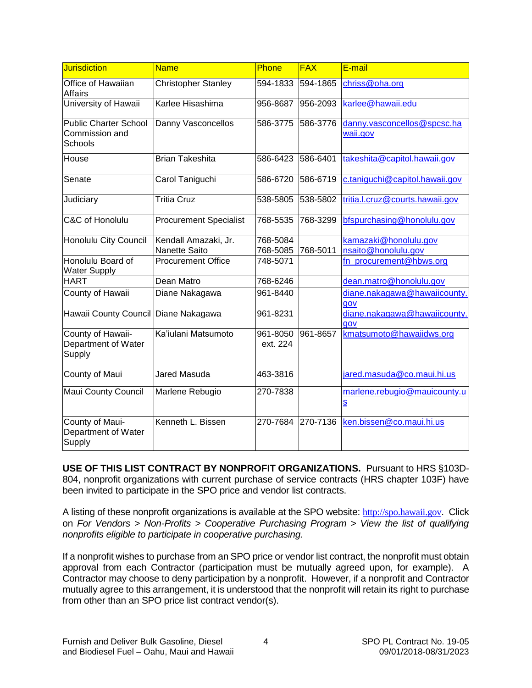<span id="page-4-0"></span>

| <b>Jurisdiction</b>                                       | <b>Name</b>                           | Phone                | <b>FAX</b> | E-mail                                                  |
|-----------------------------------------------------------|---------------------------------------|----------------------|------------|---------------------------------------------------------|
| Office of Hawaiian<br><b>Affairs</b>                      | Christopher Stanley                   | 594-1833             | 594-1865   | chriss@oha.org                                          |
| University of Hawaii                                      | Karlee Hisashima                      | 956-8687             | 956-2093   | karlee@hawaii.edu                                       |
| <b>Public Charter School</b><br>Commission and<br>Schools | Danny Vasconcellos                    | 586-3775             | 586-3776   | danny.vasconcellos@spcsc.ha<br>waii.gov                 |
| House                                                     | <b>Brian Takeshita</b>                | 586-6423             | 586-6401   | takeshita@capitol.hawaii.gov                            |
| Senate                                                    | Carol Taniguchi                       | 586-6720             | 586-6719   | c.taniguchi@capitol.hawaii.gov                          |
| Judiciary                                                 | <b>Tritia Cruz</b>                    | 538-5805             | 538-5802   | tritia.l.cruz@courts.hawaii.gov                         |
| C&C of Honolulu                                           | <b>Procurement Specialist</b>         | 768-5535             | 768-3299   | bfspurchasing@honolulu.gov                              |
| <b>Honolulu City Council</b>                              | Kendall Amazaki, Jr.<br>Nanette Saito | 768-5084<br>768-5085 | 768-5011   | kamazaki@honolulu.gov<br>nsaito@honolulu.gov            |
| Honolulu Board of<br><b>Water Supply</b>                  | <b>Procurement Office</b>             | 748-5071             |            | fn_procurement@hbws.org                                 |
| <b>HART</b>                                               | Dean Matro                            | 768-6246             |            | dean.matro@honolulu.gov                                 |
| County of Hawaii                                          | Diane Nakagawa                        | 961-8440             |            | diane.nakagawa@hawaiicounty.<br>gov                     |
| Hawaii County Council Diane Nakagawa                      |                                       | 961-8231             |            | diane.nakagawa@hawaiicounty.<br>gov                     |
| County of Hawaii-<br>Department of Water<br>Supply        | Ka'iulani Matsumoto                   | 961-8050<br>ext. 224 | 961-8657   | kmatsumoto@hawaiidws.org                                |
| County of Maui                                            | Jared Masuda                          | 463-3816             |            | jared.masuda@co.maui.hi.us                              |
| <b>Maui County Council</b>                                | Marlene Rebugio                       | 270-7838             |            | marlene.rebugio@mauicounty.u<br>$\overline{\mathbf{s}}$ |
| County of Maui-<br>Department of Water<br>Supply          | Kenneth L. Bissen                     | 270-7684             | 270-7136   | ken.bissen@co.maui.hi.us                                |

**USE OF THIS LIST CONTRACT BY NONPROFIT ORGANIZATIONS.** Pursuant to HRS §103D-804, nonprofit organizations with current purchase of service contracts (HRS chapter 103F) have been invited to participate in the SPO price and vendor list contracts.

A listing of these nonprofit organizations is available at the SPO website: [http://spo.hawaii.gov](http://spo.hawaii.gov/). Click on *For Vendors > Non-Profits > Cooperative Purchasing Program > View the list of qualifying nonprofits eligible to participate in cooperative purchasing.*

If a nonprofit wishes to purchase from an SPO price or vendor list contract, the nonprofit must obtain approval from each Contractor (participation must be mutually agreed upon, for example). A Contractor may choose to deny participation by a nonprofit. However, if a nonprofit and Contractor mutually agree to this arrangement, it is understood that the nonprofit will retain its right to purchase from other than an SPO price list contract vendor(s).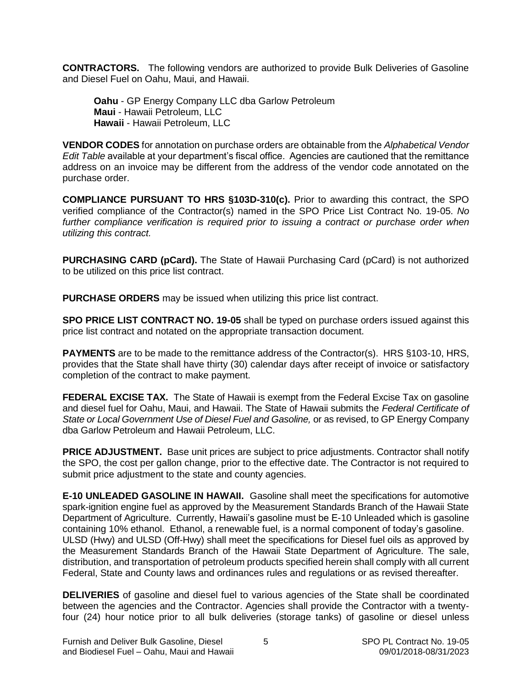<span id="page-5-0"></span>**CONTRACTORS.** The following vendors are authorized to provide Bulk Deliveries of Gasoline and Diesel Fuel on Oahu, Maui, and Hawaii.

**Oahu** - GP Energy Company LLC dba Garlow Petroleum **Maui** - Hawaii Petroleum, LLC **Hawaii** - Hawaii Petroleum, LLC

**VENDOR CODES** for annotation on purchase orders are obtainable from the *Alphabetical Vendor Edit Table* available at your department's fiscal office. Agencies are cautioned that the remittance address on an invoice may be different from the address of the vendor code annotated on the purchase order.

**COMPLIANCE PURSUANT TO HRS §103D-310(c).** Prior to awarding this contract, the SPO verified compliance of the Contractor(s) named in the SPO Price List Contract No. 19-05. *No further compliance verification is required prior to issuing a contract or purchase order when utilizing this contract.*

**PURCHASING CARD (pCard).** The State of Hawaii Purchasing Card (pCard) is not authorized to be utilized on this price list contract.

**PURCHASE ORDERS** may be issued when utilizing this price list contract.

**SPO PRICE LIST CONTRACT NO. 19-05** shall be typed on purchase orders issued against this price list contract and notated on the appropriate transaction document.

**PAYMENTS** are to be made to the remittance address of the Contractor(s). HRS §103-10, HRS, provides that the State shall have thirty (30) calendar days after receipt of invoice or satisfactory completion of the contract to make payment.

**FEDERAL EXCISE TAX.** The State of Hawaii is exempt from the Federal Excise Tax on gasoline and diesel fuel for Oahu, Maui, and Hawaii. The State of Hawaii submits the *Federal Certificate of State or Local Government Use of Diesel Fuel and Gasoline,* or as revised, to GP Energy Company dba Garlow Petroleum and Hawaii Petroleum, LLC.

**PRICE ADJUSTMENT.** Base unit prices are subject to price adjustments. Contractor shall notify the SPO, the cost per gallon change, prior to the effective date. The Contractor is not required to submit price adjustment to the state and county agencies.

**E-10 UNLEADED GASOLINE IN HAWAII.** Gasoline shall meet the specifications for automotive spark-ignition engine fuel as approved by the Measurement Standards Branch of the Hawaii State Department of Agriculture. Currently, Hawaii's gasoline must be E-10 Unleaded which is gasoline containing 10% ethanol. Ethanol, a renewable fuel, is a normal component of today's gasoline. ULSD (Hwy) and ULSD (Off-Hwy) shall meet the specifications for Diesel fuel oils as approved by the Measurement Standards Branch of the Hawaii State Department of Agriculture. The sale, distribution, and transportation of petroleum products specified herein shall comply with all current Federal, State and County laws and ordinances rules and regulations or as revised thereafter.

**DELIVERIES** of gasoline and diesel fuel to various agencies of the State shall be coordinated between the agencies and the Contractor. Agencies shall provide the Contractor with a twentyfour (24) hour notice prior to all bulk deliveries (storage tanks) of gasoline or diesel unless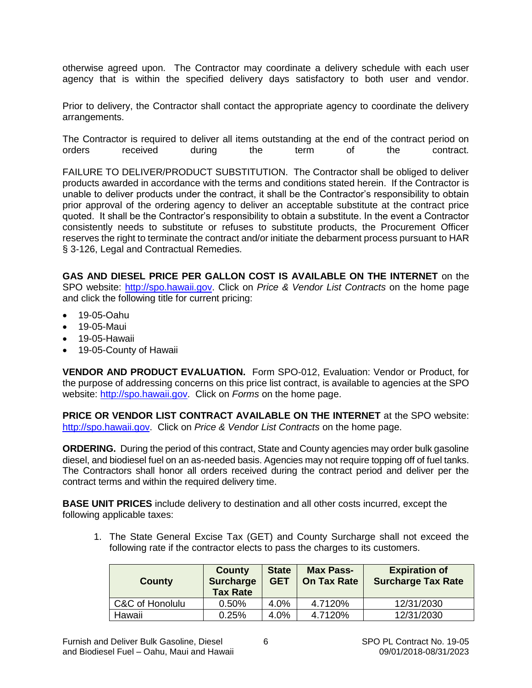<span id="page-6-0"></span>otherwise agreed upon. The Contractor may coordinate a delivery schedule with each user agency that is within the specified delivery days satisfactory to both user and vendor.

Prior to delivery, the Contractor shall contact the appropriate agency to coordinate the delivery arrangements.

The Contractor is required to deliver all items outstanding at the end of the contract period on orders received during the term of the contract.

FAILURE TO DELIVER/PRODUCT SUBSTITUTION. The Contractor shall be obliged to deliver products awarded in accordance with the terms and conditions stated herein. If the Contractor is unable to deliver products under the contract, it shall be the Contractor's responsibility to obtain prior approval of the ordering agency to deliver an acceptable substitute at the contract price quoted. It shall be the Contractor's responsibility to obtain a substitute. In the event a Contractor consistently needs to substitute or refuses to substitute products, the Procurement Officer reserves the right to terminate the contract and/or initiate the debarment process pursuant to HAR § 3-126, Legal and Contractual Remedies.

**GAS AND DIESEL PRICE PER GALLON COST IS AVAILABLE ON THE INTERNET** on the SPO website: [http://spo.hawaii.gov.](http://spo.hawaii.gov/) Click on *Price & Vendor List Contracts* on the home page and click the following title for current pricing:

- 19-05-Oahu
- 19-05-Maui
- 19-05-Hawaii
- 19-05-County of Hawaii

**VENDOR AND PRODUCT EVALUATION.** Form SPO-012, Evaluation: Vendor or Product, for the purpose of addressing concerns on this price list contract, is available to agencies at the SPO website: [http://spo.hawaii.gov.](http://spo.hawaii.gov/) Click on *Forms* on the home page.

**PRICE OR VENDOR LIST CONTRACT AVAILABLE ON THE INTERNET** at the SPO website: [http://spo.hawaii.gov.](http://spo.hawaii.gov/) Click on *Price & Vendor List Contracts* on the home page.

**ORDERING.** During the period of this contract, State and County agencies may order bulk gasoline diesel, and biodiesel fuel on an as-needed basis. Agencies may not require topping off of fuel tanks. The Contractors shall honor all orders received during the contract period and deliver per the contract terms and within the required delivery time.

**BASE UNIT PRICES** include delivery to destination and all other costs incurred, except the following applicable taxes:

1. The State General Excise Tax (GET) and County Surcharge shall not exceed the following rate if the contractor elects to pass the charges to its customers.

| County          | County<br><b>Surcharge</b><br><b>Tax Rate</b> | <b>State</b><br><b>GET</b> | <b>Max Pass-</b><br><b>On Tax Rate</b> | <b>Expiration of</b><br><b>Surcharge Tax Rate</b> |
|-----------------|-----------------------------------------------|----------------------------|----------------------------------------|---------------------------------------------------|
| C&C of Honolulu | $0.50\%$                                      | 4.0%                       | 4.7120%                                | 12/31/2030                                        |
| Hawaii          | 0.25%                                         | 4.0%                       | 4.7120%                                | 12/31/2030                                        |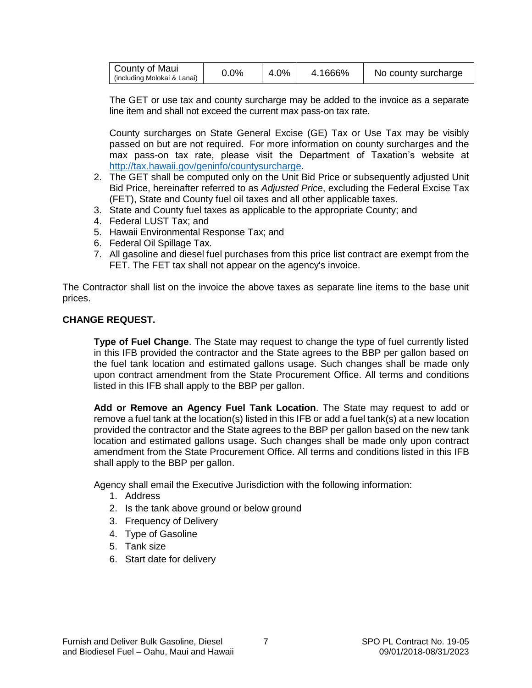<span id="page-7-0"></span>

| County of Maui<br>$0.0\%$<br>(including Molokai & Lanai) | 4.0% | 4.1666% | No county surcharge |
|----------------------------------------------------------|------|---------|---------------------|
|----------------------------------------------------------|------|---------|---------------------|

The GET or use tax and county surcharge may be added to the invoice as a separate line item and shall not exceed the current max pass-on tax rate.

County surcharges on State General Excise (GE) Tax or Use Tax may be visibly passed on but are not required. For more information on county surcharges and the max pass-on tax rate, please visit the Department of Taxation's website at [http://tax.hawaii.gov/geninfo/countysurcharge.](http://tax.hawaii.gov/geninfo/countysurcharge)

- 2. The GET shall be computed only on the Unit Bid Price or subsequently adjusted Unit Bid Price, hereinafter referred to as *Adjusted Price*, excluding the Federal Excise Tax (FET), State and County fuel oil taxes and all other applicable taxes.
- 3. State and County fuel taxes as applicable to the appropriate County; and
- 4. Federal LUST Tax; and
- 5. Hawaii Environmental Response Tax; and
- 6. Federal Oil Spillage Tax.
- 7. All gasoline and diesel fuel purchases from this price list contract are exempt from the FET. The FET tax shall not appear on the agency's invoice.

The Contractor shall list on the invoice the above taxes as separate line items to the base unit prices.

#### **CHANGE REQUEST.**

**Type of Fuel Change**. The State may request to change the type of fuel currently listed in this IFB provided the contractor and the State agrees to the BBP per gallon based on the fuel tank location and estimated gallons usage. Such changes shall be made only upon contract amendment from the State Procurement Office. All terms and conditions listed in this IFB shall apply to the BBP per gallon.

**Add or Remove an Agency Fuel Tank Location**. The State may request to add or remove a fuel tank at the location(s) listed in this IFB or add a fuel tank(s) at a new location provided the contractor and the State agrees to the BBP per gallon based on the new tank location and estimated gallons usage. Such changes shall be made only upon contract amendment from the State Procurement Office. All terms and conditions listed in this IFB shall apply to the BBP per gallon.

Agency shall email the Executive Jurisdiction with the following information:

- 1. Address
- 2. Is the tank above ground or below ground
- 3. Frequency of Delivery
- 4. Type of Gasoline
- 5. Tank size
- 6. Start date for delivery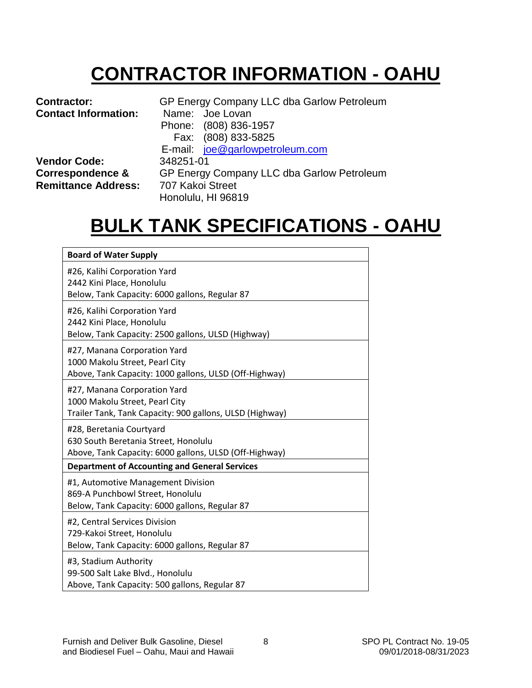# **CONTRACTOR INFORMATION - OAHU**

<span id="page-8-0"></span>

| <b>Contractor:</b><br><b>Contact Information:</b> | GP Energy Company LLC dba Garlow Petroleum<br>Name: Joe Lovan |  |  |
|---------------------------------------------------|---------------------------------------------------------------|--|--|
|                                                   | Phone: (808) 836-1957                                         |  |  |
|                                                   | Fax: (808) 833-5825                                           |  |  |
|                                                   | E-mail: joe@garlowpetroleum.com                               |  |  |
| <b>Vendor Code:</b>                               | 348251-01                                                     |  |  |
| Correspondence &                                  | GP Energy Company LLC dba Garlow Petroleum                    |  |  |
| <b>Remittance Address:</b>                        | 707 Kakoi Street                                              |  |  |
|                                                   | Honolulu, HI 96819                                            |  |  |

### **BULK TANK SPECIFICATIONS - OAHU**

| <b>Board of Water Supply</b>                                                                                               |
|----------------------------------------------------------------------------------------------------------------------------|
| #26, Kalihi Corporation Yard<br>2442 Kini Place, Honolulu<br>Below, Tank Capacity: 6000 gallons, Regular 87                |
| #26, Kalihi Corporation Yard<br>2442 Kini Place, Honolulu<br>Below, Tank Capacity: 2500 gallons, ULSD (Highway)            |
| #27, Manana Corporation Yard<br>1000 Makolu Street, Pearl City<br>Above, Tank Capacity: 1000 gallons, ULSD (Off-Highway)   |
| #27, Manana Corporation Yard<br>1000 Makolu Street, Pearl City<br>Trailer Tank, Tank Capacity: 900 gallons, ULSD (Highway) |
| #28, Beretania Courtyard<br>630 South Beretania Street, Honolulu<br>Above, Tank Capacity: 6000 gallons, ULSD (Off-Highway) |
| <b>Department of Accounting and General Services</b>                                                                       |
| #1, Automotive Management Division<br>869-A Punchbowl Street, Honolulu<br>Below, Tank Capacity: 6000 gallons, Regular 87   |
| #2, Central Services Division<br>729-Kakoi Street, Honolulu<br>Below, Tank Capacity: 6000 gallons, Regular 87              |
| #3, Stadium Authority<br>99-500 Salt Lake Blvd., Honolulu<br>Above, Tank Capacity: 500 gallons, Regular 87                 |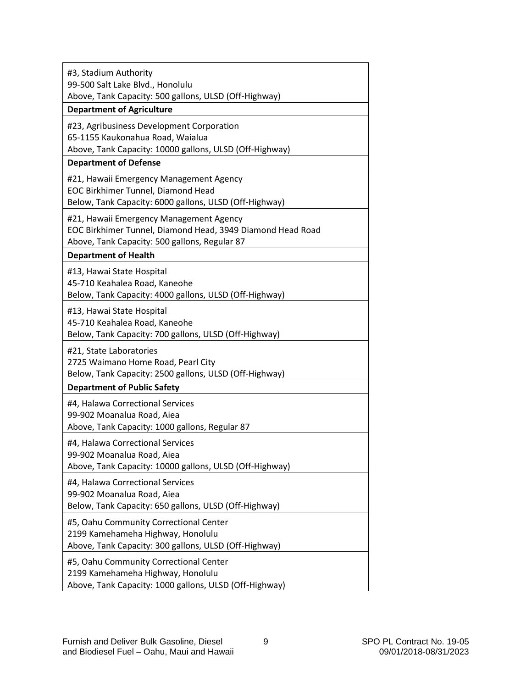| #3, Stadium Authority<br>99-500 Salt Lake Blvd., Honolulu<br>Above, Tank Capacity: 500 gallons, ULSD (Off-Highway)<br><b>Department of Agriculture</b> |
|--------------------------------------------------------------------------------------------------------------------------------------------------------|
| #23, Agribusiness Development Corporation<br>65-1155 Kaukonahua Road, Waialua<br>Above, Tank Capacity: 10000 gallons, ULSD (Off-Highway)               |
| <b>Department of Defense</b>                                                                                                                           |
| #21, Hawaii Emergency Management Agency<br><b>EOC Birkhimer Tunnel, Diamond Head</b><br>Below, Tank Capacity: 6000 gallons, ULSD (Off-Highway)         |
| #21, Hawaii Emergency Management Agency<br>EOC Birkhimer Tunnel, Diamond Head, 3949 Diamond Head Road<br>Above, Tank Capacity: 500 gallons, Regular 87 |
| <b>Department of Health</b>                                                                                                                            |
| #13, Hawai State Hospital<br>45-710 Keahalea Road, Kaneohe<br>Below, Tank Capacity: 4000 gallons, ULSD (Off-Highway)                                   |
| #13, Hawai State Hospital<br>45-710 Keahalea Road, Kaneohe<br>Below, Tank Capacity: 700 gallons, ULSD (Off-Highway)                                    |
| #21, State Laboratories<br>2725 Waimano Home Road, Pearl City<br>Below, Tank Capacity: 2500 gallons, ULSD (Off-Highway)                                |
| <b>Department of Public Safety</b>                                                                                                                     |
| #4, Halawa Correctional Services<br>99-902 Moanalua Road, Aiea<br>Above, Tank Capacity: 1000 gallons, Regular 87                                       |
| #4, Halawa Correctional Services<br>99-902 Moanalua Road, Aiea<br>Above, Tank Capacity: 10000 gallons, ULSD (Off-Highway)                              |
| #4, Halawa Correctional Services<br>99-902 Moanalua Road, Aiea<br>Below, Tank Capacity: 650 gallons, ULSD (Off-Highway)                                |
| #5, Oahu Community Correctional Center<br>2199 Kamehameha Highway, Honolulu<br>Above, Tank Capacity: 300 gallons, ULSD (Off-Highway)                   |
| #5, Oahu Community Correctional Center<br>2199 Kamehameha Highway, Honolulu<br>Above, Tank Capacity: 1000 gallons, ULSD (Off-Highway)                  |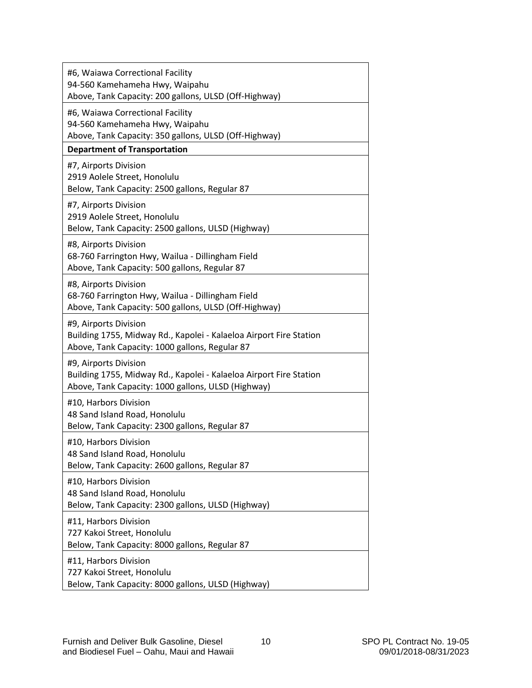| #6, Waiawa Correctional Facility<br>94-560 Kamehameha Hwy, Waipahu<br>Above, Tank Capacity: 200 gallons, ULSD (Off-Highway)                       |
|---------------------------------------------------------------------------------------------------------------------------------------------------|
| #6, Waiawa Correctional Facility<br>94-560 Kamehameha Hwy, Waipahu<br>Above, Tank Capacity: 350 gallons, ULSD (Off-Highway)                       |
| <b>Department of Transportation</b>                                                                                                               |
| #7, Airports Division<br>2919 Aolele Street, Honolulu<br>Below, Tank Capacity: 2500 gallons, Regular 87                                           |
| #7, Airports Division<br>2919 Aolele Street, Honolulu<br>Below, Tank Capacity: 2500 gallons, ULSD (Highway)                                       |
| #8, Airports Division<br>68-760 Farrington Hwy, Wailua - Dillingham Field<br>Above, Tank Capacity: 500 gallons, Regular 87                        |
| #8, Airports Division<br>68-760 Farrington Hwy, Wailua - Dillingham Field<br>Above, Tank Capacity: 500 gallons, ULSD (Off-Highway)                |
| #9, Airports Division<br>Building 1755, Midway Rd., Kapolei - Kalaeloa Airport Fire Station<br>Above, Tank Capacity: 1000 gallons, Regular 87     |
| #9, Airports Division<br>Building 1755, Midway Rd., Kapolei - Kalaeloa Airport Fire Station<br>Above, Tank Capacity: 1000 gallons, ULSD (Highway) |
| #10, Harbors Division<br>48 Sand Island Road, Honolulu<br>Below, Tank Capacity: 2300 gallons, Regular 87                                          |
| #10, Harbors Division<br>48 Sand Island Road, Honolulu<br>Below, Tank Capacity: 2600 gallons, Regular 87                                          |
| #10, Harbors Division<br>48 Sand Island Road, Honolulu<br>Below, Tank Capacity: 2300 gallons, ULSD (Highway)                                      |
| #11, Harbors Division<br>727 Kakoi Street, Honolulu<br>Below, Tank Capacity: 8000 gallons, Regular 87                                             |
| #11, Harbors Division<br>727 Kakoi Street, Honolulu<br>Below, Tank Capacity: 8000 gallons, ULSD (Highway)                                         |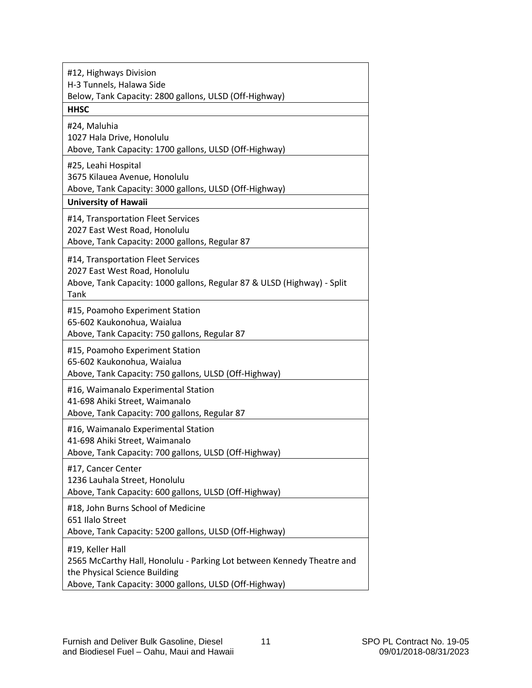| #12, Highways Division<br>H-3 Tunnels, Halawa Side<br>Below, Tank Capacity: 2800 gallons, ULSD (Off-Highway)<br><b>HHSC</b>                                                           |
|---------------------------------------------------------------------------------------------------------------------------------------------------------------------------------------|
| #24, Maluhia<br>1027 Hala Drive, Honolulu<br>Above, Tank Capacity: 1700 gallons, ULSD (Off-Highway)                                                                                   |
| #25, Leahi Hospital<br>3675 Kilauea Avenue, Honolulu<br>Above, Tank Capacity: 3000 gallons, ULSD (Off-Highway)                                                                        |
| <b>University of Hawaii</b>                                                                                                                                                           |
| #14, Transportation Fleet Services<br>2027 East West Road, Honolulu<br>Above, Tank Capacity: 2000 gallons, Regular 87                                                                 |
| #14, Transportation Fleet Services<br>2027 East West Road, Honolulu<br>Above, Tank Capacity: 1000 gallons, Regular 87 & ULSD (Highway) - Split<br>Tank                                |
| #15, Poamoho Experiment Station<br>65-602 Kaukonohua, Waialua<br>Above, Tank Capacity: 750 gallons, Regular 87                                                                        |
| #15, Poamoho Experiment Station<br>65-602 Kaukonohua, Waialua<br>Above, Tank Capacity: 750 gallons, ULSD (Off-Highway)                                                                |
| #16, Waimanalo Experimental Station<br>41-698 Ahiki Street, Waimanalo<br>Above, Tank Capacity: 700 gallons, Regular 87                                                                |
| #16, Waimanalo Experimental Station<br>41-698 Ahiki Street, Waimanalo<br>Above, Tank Capacity: 700 gallons, ULSD (Off-Highway)                                                        |
| #17, Cancer Center<br>1236 Lauhala Street, Honolulu<br>Above, Tank Capacity: 600 gallons, ULSD (Off-Highway)                                                                          |
| #18, John Burns School of Medicine<br>651 Ilalo Street<br>Above, Tank Capacity: 5200 gallons, ULSD (Off-Highway)                                                                      |
| #19, Keller Hall<br>2565 McCarthy Hall, Honolulu - Parking Lot between Kennedy Theatre and<br>the Physical Science Building<br>Above, Tank Capacity: 3000 gallons, ULSD (Off-Highway) |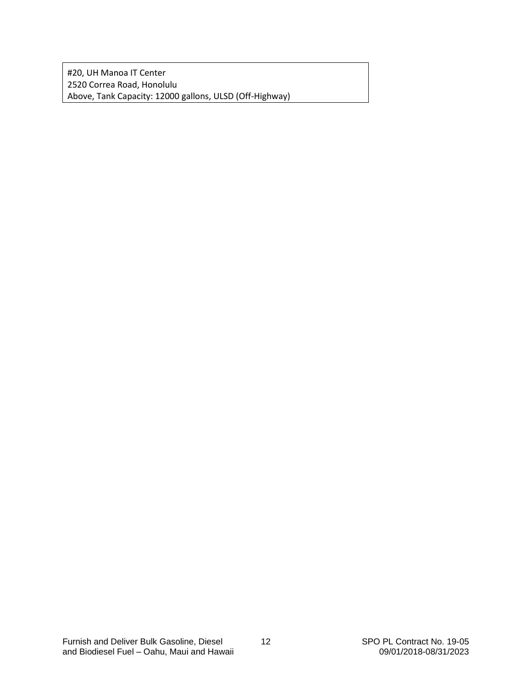#20, UH Manoa IT Center 2520 Correa Road, Honolulu Above, Tank Capacity: 12000 gallons, ULSD (Off-Highway)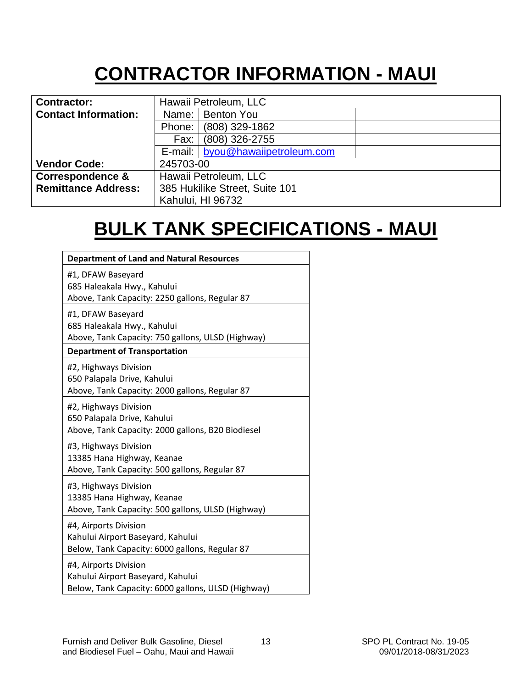## **CONTRACTOR INFORMATION - MAUI**

<span id="page-13-0"></span>

| <b>Contractor:</b>          | Hawaii Petroleum, LLC            |  |  |
|-----------------------------|----------------------------------|--|--|
| <b>Contact Information:</b> | Name:   Benton You               |  |  |
|                             | (808) 329-1862<br>Phone:         |  |  |
|                             | (808) 326-2755<br>Fax:           |  |  |
|                             | E-mail: byou@hawaiipetroleum.com |  |  |
| <b>Vendor Code:</b>         | 245703-00                        |  |  |
| <b>Correspondence &amp;</b> | Hawaii Petroleum, LLC            |  |  |
| <b>Remittance Address:</b>  | 385 Hukilike Street, Suite 101   |  |  |
|                             | Kahului, HI 96732                |  |  |

## **BULK TANK SPECIFICATIONS - MAUI**

| <b>Department of Land and Natural Resources</b>                                                                                              |
|----------------------------------------------------------------------------------------------------------------------------------------------|
| #1, DFAW Baseyard<br>685 Haleakala Hwy., Kahului<br>Above, Tank Capacity: 2250 gallons, Regular 87                                           |
| #1, DFAW Baseyard<br>685 Haleakala Hwy., Kahului<br>Above, Tank Capacity: 750 gallons, ULSD (Highway)<br><b>Department of Transportation</b> |
| #2, Highways Division<br>650 Palapala Drive, Kahului<br>Above, Tank Capacity: 2000 gallons, Regular 87                                       |
| #2, Highways Division<br>650 Palapala Drive, Kahului<br>Above, Tank Capacity: 2000 gallons, B20 Biodiesel                                    |
| #3, Highways Division<br>13385 Hana Highway, Keanae<br>Above, Tank Capacity: 500 gallons, Regular 87                                         |
| #3, Highways Division<br>13385 Hana Highway, Keanae<br>Above, Tank Capacity: 500 gallons, ULSD (Highway)                                     |
| #4, Airports Division<br>Kahului Airport Baseyard, Kahului<br>Below, Tank Capacity: 6000 gallons, Regular 87                                 |
| #4, Airports Division<br>Kahului Airport Baseyard, Kahului<br>Below, Tank Capacity: 6000 gallons, ULSD (Highway)                             |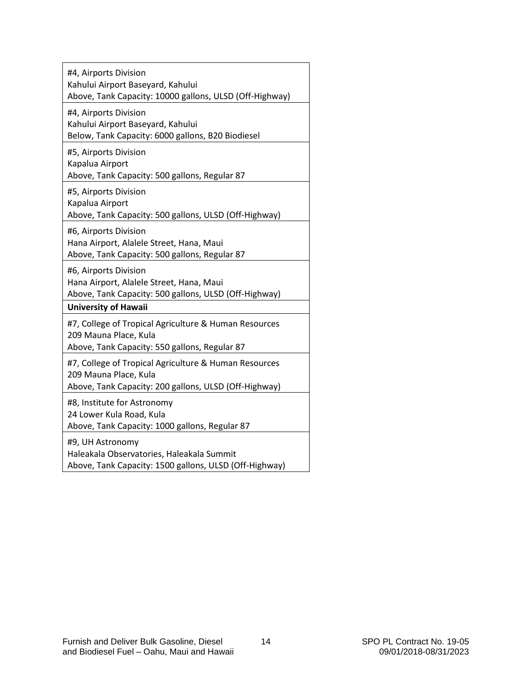| #4, Airports Division<br>Kahului Airport Baseyard, Kahului<br>Above, Tank Capacity: 10000 gallons, ULSD (Off-Highway)                   |
|-----------------------------------------------------------------------------------------------------------------------------------------|
| #4, Airports Division<br>Kahului Airport Baseyard, Kahului<br>Below, Tank Capacity: 6000 gallons, B20 Biodiesel                         |
| #5, Airports Division<br>Kapalua Airport<br>Above, Tank Capacity: 500 gallons, Regular 87                                               |
| #5, Airports Division<br>Kapalua Airport<br>Above, Tank Capacity: 500 gallons, ULSD (Off-Highway)                                       |
| #6, Airports Division<br>Hana Airport, Alalele Street, Hana, Maui<br>Above, Tank Capacity: 500 gallons, Regular 87                      |
| #6, Airports Division<br>Hana Airport, Alalele Street, Hana, Maui<br>Above, Tank Capacity: 500 gallons, ULSD (Off-Highway)              |
| <b>University of Hawaii</b>                                                                                                             |
| #7, College of Tropical Agriculture & Human Resources<br>209 Mauna Place, Kula<br>Above, Tank Capacity: 550 gallons, Regular 87         |
| #7, College of Tropical Agriculture & Human Resources<br>209 Mauna Place, Kula<br>Above, Tank Capacity: 200 gallons, ULSD (Off-Highway) |
| #8, Institute for Astronomy<br>24 Lower Kula Road, Kula<br>Above, Tank Capacity: 1000 gallons, Regular 87                               |
| #9, UH Astronomy<br>Haleakala Observatories, Haleakala Summit<br>Above, Tank Capacity: 1500 gallons, ULSD (Off-Highway)                 |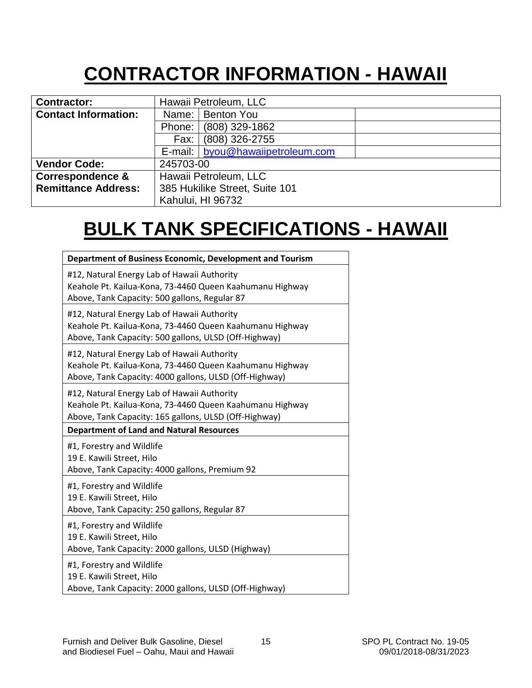# **CONTRACTOR INFORMATION - HAWAII**

<span id="page-15-0"></span>

| <b>Contractor:</b>          | Hawaii Petroleum, LLC            |
|-----------------------------|----------------------------------|
| <b>Contact Information:</b> | Name:   Benton You               |
|                             | (808) 329-1862<br>Phone:         |
|                             | (808) 326-2755<br>Fax:           |
|                             | E-mail: byou@hawaiipetroleum.com |
| <b>Vendor Code:</b>         | 245703-00                        |
| <b>Correspondence &amp;</b> | Hawaii Petroleum, LLC            |
| <b>Remittance Address:</b>  | 385 Hukilike Street, Suite 101   |
|                             | Kahului, HI 96732                |

## **BULK TANK SPECIFICATIONS - HAWAII**

| Department of Business Economic, Development and Tourism                                                                                                          |
|-------------------------------------------------------------------------------------------------------------------------------------------------------------------|
| #12, Natural Energy Lab of Hawaii Authority<br>Keahole Pt. Kailua-Kona, 73-4460 Queen Kaahumanu Highway<br>Above, Tank Capacity: 500 gallons, Regular 87          |
| #12, Natural Energy Lab of Hawaii Authority<br>Keahole Pt. Kailua-Kona, 73-4460 Queen Kaahumanu Highway<br>Above, Tank Capacity: 500 gallons, ULSD (Off-Highway)  |
| #12, Natural Energy Lab of Hawaii Authority<br>Keahole Pt. Kailua-Kona, 73-4460 Queen Kaahumanu Highway<br>Above, Tank Capacity: 4000 gallons, ULSD (Off-Highway) |
| #12, Natural Energy Lab of Hawaii Authority<br>Keahole Pt. Kailua-Kona, 73-4460 Queen Kaahumanu Highway<br>Above, Tank Capacity: 165 gallons, ULSD (Off-Highway)  |
| <b>Department of Land and Natural Resources</b>                                                                                                                   |
| #1, Forestry and Wildlife                                                                                                                                         |
| 19 E. Kawili Street, Hilo<br>Above, Tank Capacity: 4000 gallons, Premium 92                                                                                       |
| #1, Forestry and Wildlife<br>19 E. Kawili Street, Hilo<br>Above, Tank Capacity: 250 gallons, Regular 87                                                           |
| #1, Forestry and Wildlife<br>19 E. Kawili Street, Hilo<br>Above, Tank Capacity: 2000 gallons, ULSD (Highway)                                                      |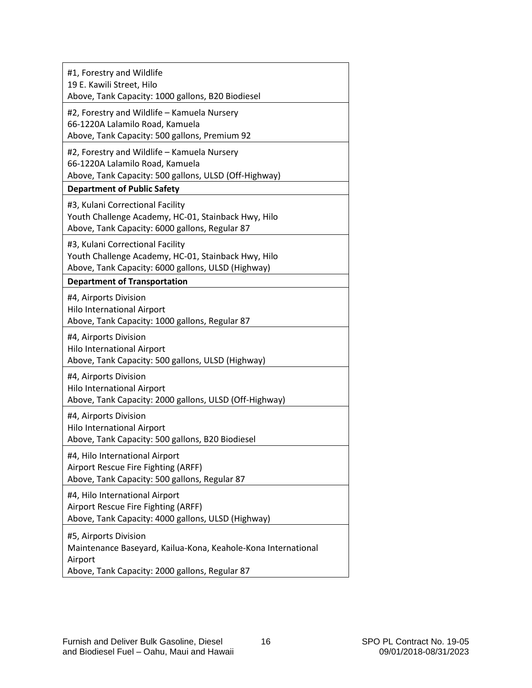| #1, Forestry and Wildlife<br>19 E. Kawili Street, Hilo<br>Above, Tank Capacity: 1000 gallons, B20 Biodiesel                                         |
|-----------------------------------------------------------------------------------------------------------------------------------------------------|
| #2, Forestry and Wildlife - Kamuela Nursery<br>66-1220A Lalamilo Road, Kamuela<br>Above, Tank Capacity: 500 gallons, Premium 92                     |
| #2, Forestry and Wildlife - Kamuela Nursery<br>66-1220A Lalamilo Road, Kamuela<br>Above, Tank Capacity: 500 gallons, ULSD (Off-Highway)             |
| <b>Department of Public Safety</b>                                                                                                                  |
| #3, Kulani Correctional Facility<br>Youth Challenge Academy, HC-01, Stainback Hwy, Hilo<br>Above, Tank Capacity: 6000 gallons, Regular 87           |
| #3, Kulani Correctional Facility<br>Youth Challenge Academy, HC-01, Stainback Hwy, Hilo<br>Above, Tank Capacity: 6000 gallons, ULSD (Highway)       |
| <b>Department of Transportation</b>                                                                                                                 |
| #4, Airports Division<br><b>Hilo International Airport</b><br>Above, Tank Capacity: 1000 gallons, Regular 87                                        |
| #4, Airports Division<br><b>Hilo International Airport</b><br>Above, Tank Capacity: 500 gallons, ULSD (Highway)                                     |
| #4, Airports Division<br><b>Hilo International Airport</b><br>Above, Tank Capacity: 2000 gallons, ULSD (Off-Highway)                                |
| #4, Airports Division<br>Hilo International Airport<br>Above, Tank Capacity: 500 gallons, B20 Biodiesel                                             |
| #4, Hilo International Airport<br>Airport Rescue Fire Fighting (ARFF)<br>Above, Tank Capacity: 500 gallons, Regular 87                              |
| #4, Hilo International Airport<br>Airport Rescue Fire Fighting (ARFF)<br>Above, Tank Capacity: 4000 gallons, ULSD (Highway)                         |
| #5, Airports Division<br>Maintenance Baseyard, Kailua-Kona, Keahole-Kona International<br>Airport<br>Above, Tank Capacity: 2000 gallons, Regular 87 |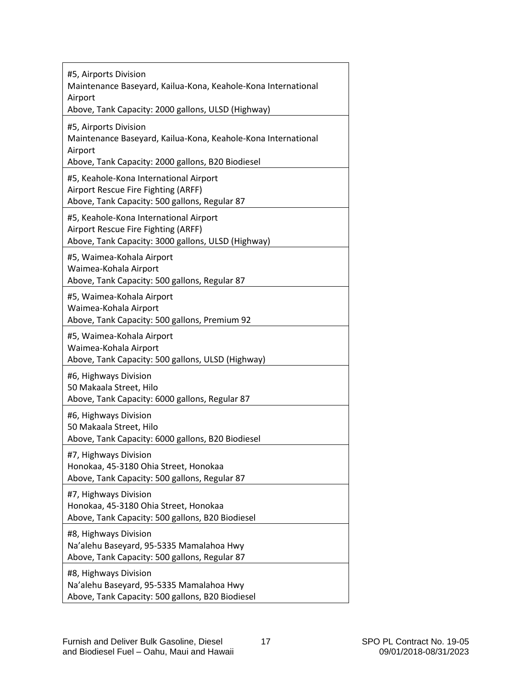| #5, Airports Division<br>Maintenance Baseyard, Kailua-Kona, Keahole-Kona International<br>Airport<br>Above, Tank Capacity: 2000 gallons, ULSD (Highway) |
|---------------------------------------------------------------------------------------------------------------------------------------------------------|
| #5, Airports Division<br>Maintenance Baseyard, Kailua-Kona, Keahole-Kona International<br>Airport<br>Above, Tank Capacity: 2000 gallons, B20 Biodiesel  |
| #5, Keahole-Kona International Airport<br>Airport Rescue Fire Fighting (ARFF)<br>Above, Tank Capacity: 500 gallons, Regular 87                          |
| #5, Keahole-Kona International Airport<br>Airport Rescue Fire Fighting (ARFF)<br>Above, Tank Capacity: 3000 gallons, ULSD (Highway)                     |
| #5, Waimea-Kohala Airport<br>Waimea-Kohala Airport<br>Above, Tank Capacity: 500 gallons, Regular 87                                                     |
| #5, Waimea-Kohala Airport<br>Waimea-Kohala Airport<br>Above, Tank Capacity: 500 gallons, Premium 92                                                     |
| #5, Waimea-Kohala Airport<br>Waimea-Kohala Airport<br>Above, Tank Capacity: 500 gallons, ULSD (Highway)                                                 |
| #6, Highways Division<br>50 Makaala Street, Hilo<br>Above, Tank Capacity: 6000 gallons, Regular 87                                                      |
| #6, Highways Division<br>50 Makaala Street, Hilo<br>Above, Tank Capacity: 6000 gallons, B20 Biodiesel                                                   |
| #7, Highways Division<br>Honokaa, 45-3180 Ohia Street, Honokaa<br>Above, Tank Capacity: 500 gallons, Regular 87                                         |
| #7, Highways Division<br>Honokaa, 45-3180 Ohia Street, Honokaa<br>Above, Tank Capacity: 500 gallons, B20 Biodiesel                                      |
| #8, Highways Division<br>Na'alehu Baseyard, 95-5335 Mamalahoa Hwy<br>Above, Tank Capacity: 500 gallons, Regular 87                                      |
| #8, Highways Division<br>Na'alehu Baseyard, 95-5335 Mamalahoa Hwy<br>Above, Tank Capacity: 500 gallons, B20 Biodiesel                                   |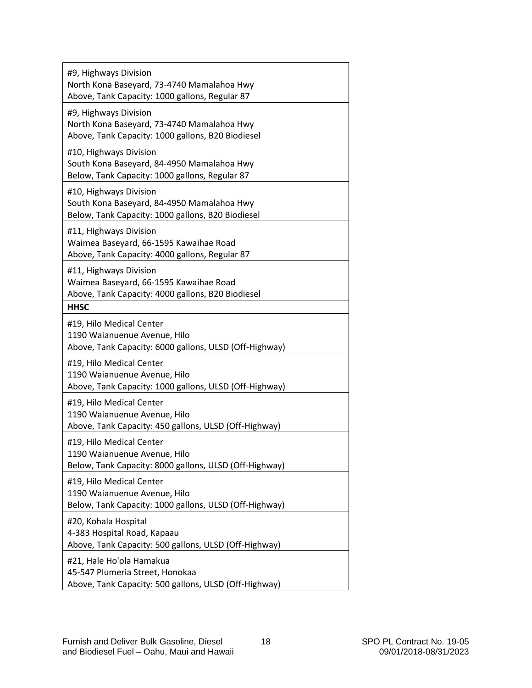| #9, Highways Division<br>North Kona Baseyard, 73-4740 Mamalahoa Hwy<br>Above, Tank Capacity: 1000 gallons, Regular 87     |
|---------------------------------------------------------------------------------------------------------------------------|
| #9, Highways Division<br>North Kona Baseyard, 73-4740 Mamalahoa Hwy<br>Above, Tank Capacity: 1000 gallons, B20 Biodiesel  |
| #10, Highways Division<br>South Kona Baseyard, 84-4950 Mamalahoa Hwy<br>Below, Tank Capacity: 1000 gallons, Regular 87    |
| #10, Highways Division<br>South Kona Baseyard, 84-4950 Mamalahoa Hwy<br>Below, Tank Capacity: 1000 gallons, B20 Biodiesel |
| #11, Highways Division<br>Waimea Baseyard, 66-1595 Kawaihae Road<br>Above, Tank Capacity: 4000 gallons, Regular 87        |
| #11, Highways Division<br>Waimea Baseyard, 66-1595 Kawaihae Road<br>Above, Tank Capacity: 4000 gallons, B20 Biodiesel     |
| <b>HHSC</b>                                                                                                               |
| #19, Hilo Medical Center<br>1190 Waianuenue Avenue, Hilo<br>Above, Tank Capacity: 6000 gallons, ULSD (Off-Highway)        |
| #19, Hilo Medical Center<br>1190 Waianuenue Avenue, Hilo<br>Above, Tank Capacity: 1000 gallons, ULSD (Off-Highway)        |
| #19, Hilo Medical Center<br>1190 Waianuenue Avenue, Hilo<br>Above, Tank Capacity: 450 gallons, ULSD (Off-Highway)         |
| #19, Hilo Medical Center<br>1190 Waianuenue Avenue, Hilo<br>Below, Tank Capacity: 8000 gallons, ULSD (Off-Highway)        |
| #19, Hilo Medical Center<br>1190 Waianuenue Avenue, Hilo<br>Below, Tank Capacity: 1000 gallons, ULSD (Off-Highway)        |
| #20, Kohala Hospital<br>4-383 Hospital Road, Kapaau<br>Above, Tank Capacity: 500 gallons, ULSD (Off-Highway)              |
| #21, Hale Ho'ola Hamakua<br>45-547 Plumeria Street, Honokaa<br>Above, Tank Capacity: 500 gallons, ULSD (Off-Highway)      |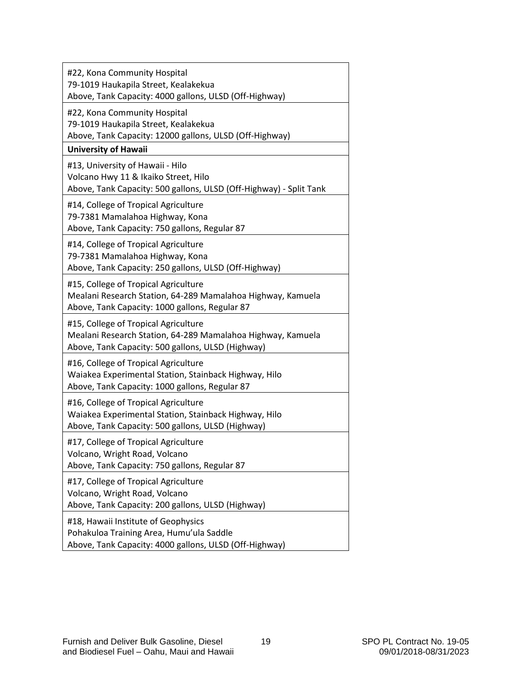| #22, Kona Community Hospital<br>79-1019 Haukapila Street, Kealakekua<br>Above, Tank Capacity: 4000 gallons, ULSD (Off-Highway)                           |
|----------------------------------------------------------------------------------------------------------------------------------------------------------|
| #22, Kona Community Hospital<br>79-1019 Haukapila Street, Kealakekua<br>Above, Tank Capacity: 12000 gallons, ULSD (Off-Highway)                          |
| <b>University of Hawaii</b>                                                                                                                              |
| #13, University of Hawaii - Hilo<br>Volcano Hwy 11 & Ikaiko Street, Hilo<br>Above, Tank Capacity: 500 gallons, ULSD (Off-Highway) - Split Tank           |
| #14, College of Tropical Agriculture<br>79-7381 Mamalahoa Highway, Kona<br>Above, Tank Capacity: 750 gallons, Regular 87                                 |
| #14, College of Tropical Agriculture<br>79-7381 Mamalahoa Highway, Kona<br>Above, Tank Capacity: 250 gallons, ULSD (Off-Highway)                         |
| #15, College of Tropical Agriculture<br>Mealani Research Station, 64-289 Mamalahoa Highway, Kamuela<br>Above, Tank Capacity: 1000 gallons, Regular 87    |
| #15, College of Tropical Agriculture<br>Mealani Research Station, 64-289 Mamalahoa Highway, Kamuela<br>Above, Tank Capacity: 500 gallons, ULSD (Highway) |
| #16, College of Tropical Agriculture<br>Waiakea Experimental Station, Stainback Highway, Hilo<br>Above, Tank Capacity: 1000 gallons, Regular 87          |
| #16, College of Tropical Agriculture<br>Waiakea Experimental Station, Stainback Highway, Hilo<br>Above, Tank Capacity: 500 gallons, ULSD (Highway)       |
| #17, College of Tropical Agriculture<br>Volcano, Wright Road, Volcano<br>Above, Tank Capacity: 750 gallons, Regular 87                                   |
| #17, College of Tropical Agriculture<br>Volcano, Wright Road, Volcano<br>Above, Tank Capacity: 200 gallons, ULSD (Highway)                               |
| #18, Hawaii Institute of Geophysics<br>Pohakuloa Training Area, Humu'ula Saddle<br>Above, Tank Capacity: 4000 gallons, ULSD (Off-Highway)                |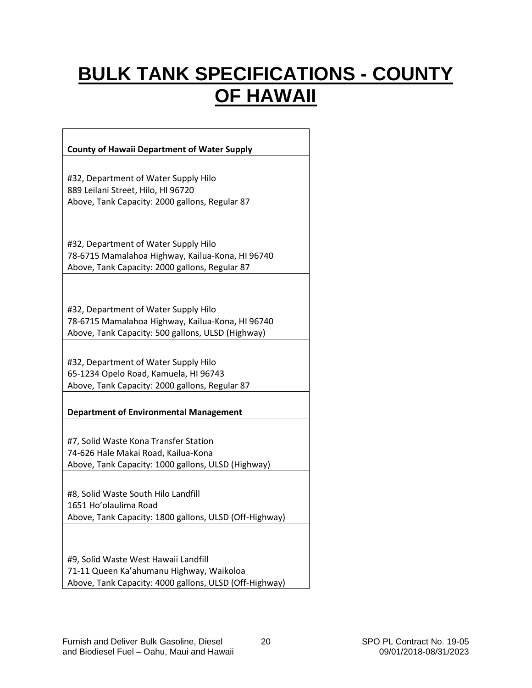## <span id="page-20-0"></span>**BULK TANK SPECIFICATIONS - COUNTY OF HAWAII**

٦

| <b>County of Hawaii Department of Water Supply</b>                                                                                            |
|-----------------------------------------------------------------------------------------------------------------------------------------------|
|                                                                                                                                               |
| #32, Department of Water Supply Hilo<br>889 Leilani Street, Hilo, HI 96720<br>Above, Tank Capacity: 2000 gallons, Regular 87                  |
|                                                                                                                                               |
| #32, Department of Water Supply Hilo<br>78-6715 Mamalahoa Highway, Kailua-Kona, HI 96740<br>Above, Tank Capacity: 2000 gallons, Regular 87    |
|                                                                                                                                               |
| #32, Department of Water Supply Hilo<br>78-6715 Mamalahoa Highway, Kailua-Kona, HI 96740<br>Above, Tank Capacity: 500 gallons, ULSD (Highway) |
|                                                                                                                                               |
| #32, Department of Water Supply Hilo                                                                                                          |
| 65-1234 Opelo Road, Kamuela, HI 96743                                                                                                         |
| Above, Tank Capacity: 2000 gallons, Regular 87                                                                                                |
| <b>Department of Environmental Management</b>                                                                                                 |
|                                                                                                                                               |
| #7, Solid Waste Kona Transfer Station                                                                                                         |
| 74-626 Hale Makai Road, Kailua-Kona                                                                                                           |
| Above, Tank Capacity: 1000 gallons, ULSD (Highway)                                                                                            |
| #8, Solid Waste South Hilo Landfill<br>1651 Ho'olaulima Road<br>Above, Tank Capacity: 1800 gallons, ULSD (Off-Highway)                        |
|                                                                                                                                               |
| #9, Solid Waste West Hawaii Landfill<br>71-11 Queen Ka'ahumanu Highway, Waikoloa<br>Above, Tank Capacity: 4000 gallons, ULSD (Off-Highway)    |

 $\Gamma$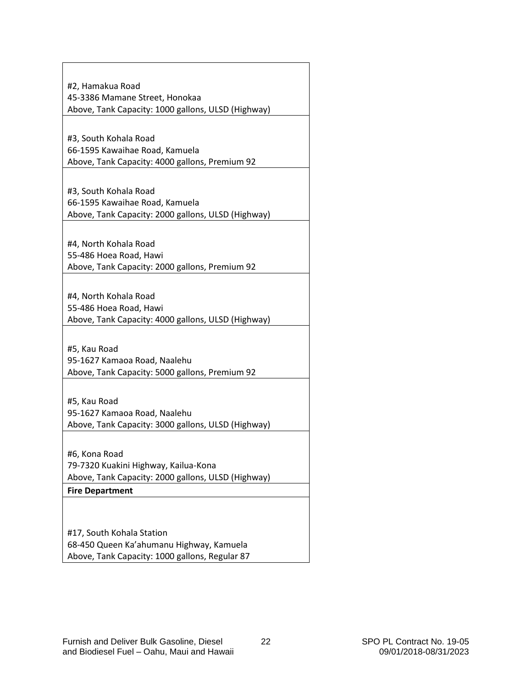| #2, Hamakua Road                                   |
|----------------------------------------------------|
| 45-3386 Mamane Street, Honokaa                     |
| Above, Tank Capacity: 1000 gallons, ULSD (Highway) |
|                                                    |
| #3, South Kohala Road                              |
| 66-1595 Kawaihae Road, Kamuela                     |
| Above, Tank Capacity: 4000 gallons, Premium 92     |
|                                                    |
| #3, South Kohala Road                              |
| 66-1595 Kawaihae Road, Kamuela                     |
| Above, Tank Capacity: 2000 gallons, ULSD (Highway) |
|                                                    |
|                                                    |
| #4, North Kohala Road                              |
| 55-486 Hoea Road, Hawi                             |
| Above, Tank Capacity: 2000 gallons, Premium 92     |
|                                                    |
| #4, North Kohala Road                              |
| 55-486 Hoea Road, Hawi                             |
| Above, Tank Capacity: 4000 gallons, ULSD (Highway) |
|                                                    |
| #5, Kau Road                                       |
| 95-1627 Kamaoa Road, Naalehu                       |
| Above, Tank Capacity: 5000 gallons, Premium 92     |
|                                                    |
| #5, Kau Road                                       |
| 95-1627 Kamaoa Road, Naalehu                       |
| Above, Tank Capacity: 3000 gallons, ULSD (Highway) |
|                                                    |
|                                                    |
| #6, Kona Road                                      |
| 79-7320 Kuakini Highway, Kailua-Kona               |
| Above, Tank Capacity: 2000 gallons, ULSD (Highway) |
| <b>Fire Department</b>                             |
|                                                    |
|                                                    |
| #17, South Kohala Station                          |
| 68-450 Queen Ka'ahumanu Highway, Kamuela           |
| Above, Tank Capacity: 1000 gallons, Regular 87     |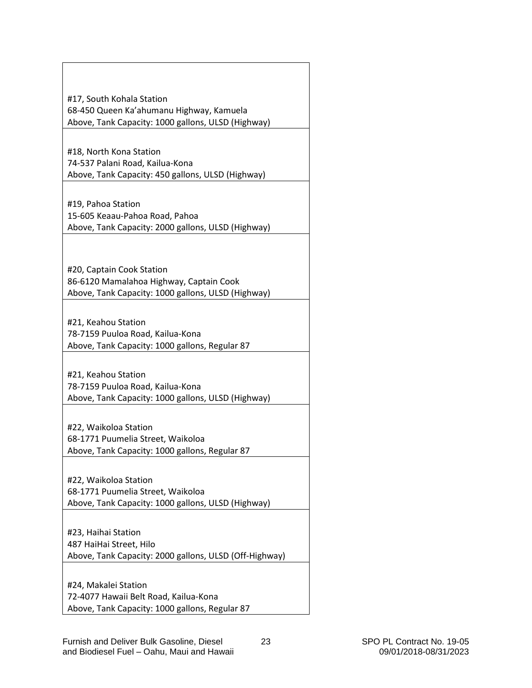| #17, South Kohala Station                                            |
|----------------------------------------------------------------------|
| 68-450 Queen Ka'ahumanu Highway, Kamuela                             |
| Above, Tank Capacity: 1000 gallons, ULSD (Highway)                   |
|                                                                      |
| #18, North Kona Station                                              |
| 74-537 Palani Road, Kailua-Kona                                      |
| Above, Tank Capacity: 450 gallons, ULSD (Highway)                    |
|                                                                      |
| #19, Pahoa Station                                                   |
| 15-605 Keaau-Pahoa Road, Pahoa                                       |
| Above, Tank Capacity: 2000 gallons, ULSD (Highway)                   |
|                                                                      |
|                                                                      |
| #20, Captain Cook Station<br>86-6120 Mamalahoa Highway, Captain Cook |
| Above, Tank Capacity: 1000 gallons, ULSD (Highway)                   |
|                                                                      |
| #21, Keahou Station                                                  |
| 78-7159 Puuloa Road, Kailua-Kona                                     |
| Above, Tank Capacity: 1000 gallons, Regular 87                       |
|                                                                      |
| #21, Keahou Station                                                  |
| 78-7159 Puuloa Road, Kailua-Kona                                     |
| Above, Tank Capacity: 1000 gallons, ULSD (Highway)                   |
|                                                                      |
| #22, Waikoloa Station<br>68-1771 Puumelia Street, Waikoloa           |
| Above, Tank Capacity: 1000 gallons, Regular 87                       |
|                                                                      |
| #22, Waikoloa Station                                                |
| 68-1771 Puumelia Street, Waikoloa                                    |
| Above, Tank Capacity: 1000 gallons, ULSD (Highway)                   |
|                                                                      |
| #23, Haihai Station                                                  |
| 487 HaiHai Street, Hilo                                              |
| Above, Tank Capacity: 2000 gallons, ULSD (Off-Highway)               |
|                                                                      |
| #24, Makalei Station                                                 |
| 72-4077 Hawaii Belt Road, Kailua-Kona                                |
| Above, Tank Capacity: 1000 gallons, Regular 87                       |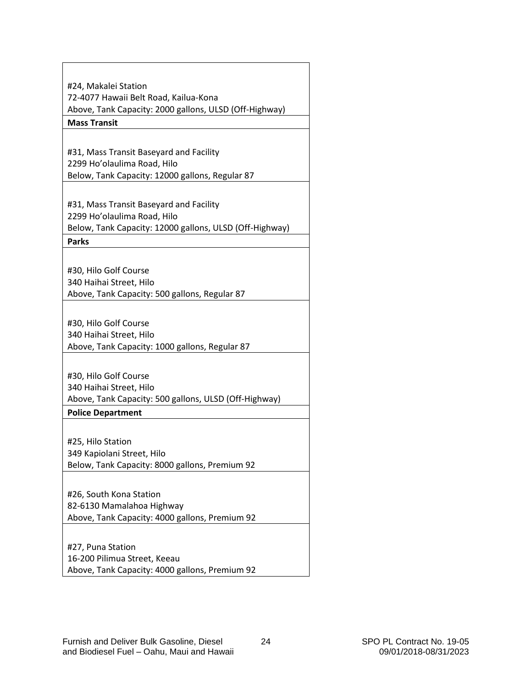| #24, Makalei Station                                    |  |  |
|---------------------------------------------------------|--|--|
| 72-4077 Hawaii Belt Road, Kailua-Kona                   |  |  |
| Above, Tank Capacity: 2000 gallons, ULSD (Off-Highway)  |  |  |
| <b>Mass Transit</b>                                     |  |  |
|                                                         |  |  |
|                                                         |  |  |
| #31, Mass Transit Baseyard and Facility                 |  |  |
| 2299 Ho'olaulima Road, Hilo                             |  |  |
| Below, Tank Capacity: 12000 gallons, Regular 87         |  |  |
|                                                         |  |  |
| #31, Mass Transit Baseyard and Facility                 |  |  |
| 2299 Ho'olaulima Road, Hilo                             |  |  |
| Below, Tank Capacity: 12000 gallons, ULSD (Off-Highway) |  |  |
| <b>Parks</b>                                            |  |  |
|                                                         |  |  |
| #30, Hilo Golf Course                                   |  |  |
| 340 Haihai Street, Hilo                                 |  |  |
| Above, Tank Capacity: 500 gallons, Regular 87           |  |  |
|                                                         |  |  |
| #30, Hilo Golf Course                                   |  |  |
| 340 Haihai Street, Hilo                                 |  |  |
| Above, Tank Capacity: 1000 gallons, Regular 87          |  |  |
|                                                         |  |  |
| #30, Hilo Golf Course                                   |  |  |
| 340 Haihai Street, Hilo                                 |  |  |
| Above, Tank Capacity: 500 gallons, ULSD (Off-Highway)   |  |  |
| <b>Police Department</b>                                |  |  |
|                                                         |  |  |
| #25, Hilo Station                                       |  |  |
| 349 Kapiolani Street, Hilo                              |  |  |
| Below, Tank Capacity: 8000 gallons, Premium 92          |  |  |
|                                                         |  |  |
| #26, South Kona Station                                 |  |  |
| 82-6130 Mamalahoa Highway                               |  |  |
| Above, Tank Capacity: 4000 gallons, Premium 92          |  |  |
|                                                         |  |  |
| #27, Puna Station                                       |  |  |
| 16-200 Pilimua Street, Keeau                            |  |  |
| Above, Tank Capacity: 4000 gallons, Premium 92          |  |  |